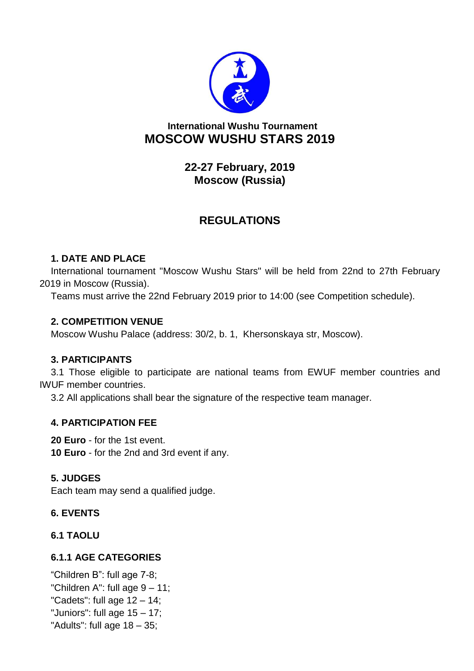

# **International Wushu Tournament MOSCOW WUSHU STARS 2019**

**22-27 February, 2019 Moscow (Russia)**

# **REGULATIONS**

## **1. DATE AND PLACE**

International tournament "Moscow Wushu Stars" will be held from 22nd to 27th February 2019 in Moscow (Russia).

Teams must arrive the 22nd February 2019 prior to 14:00 (see Competition schedule).

## **2. COMPETITION VENUE**

Moscow Wushu Palace (address: 30/2, b. 1, Khersonskaya str, Moscow).

## **3. PARTICIPANTS**

3.1 Those eligible to participate are national teams from EWUF member countries and IWUF member countries.

3.2 All applications shall bear the signature of the respective team manager.

## **4. PARTICIPATION FEE**

**20 Euro** - for the 1st event.

**10 Euro** - for the 2nd and 3rd event if any.

## **5. JUDGES**

Each team may send a qualified judge.

## **6. EVENTS**

**6.1 TAOLU**

## **6.1.1 AGE CATEGORIES**

"Children B": full age 7-8; "Children A": full age  $9 - 11$ ; "Cadets": full age  $12 - 14$ ; "Juniors": full age 15 – 17; "Adults": full age  $18 - 35$ ;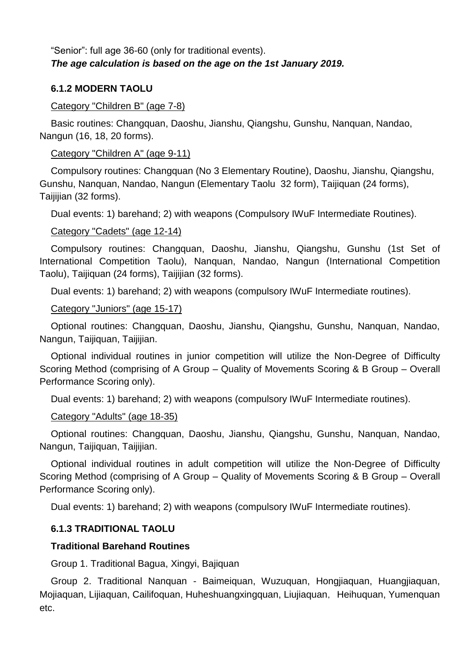## "Senior": full age 36-60 (only for traditional events). *The age calculation is based on the age on the 1st January 2019.*

## **6.1.2 MODERN TAOLU**

## Category "Children B" (age 7-8)

Basic routines: Changquan, Daoshu, Jianshu, Qiangshu, Gunshu, Nanquan, Nandao, Nangun (16, 18, 20 forms).

## Category "Children A" (age 9-11)

Compulsory routines: Changquan (No 3 Elementary Routine), Daoshu, Jianshu, Qiangshu, Gunshu, Nanquan, Nandao, Nangun (Elementary Taolu 32 form), Taijiquan (24 forms), Taijijian (32 forms).

Dual events: 1) barehand; 2) with weapons (Compulsory IWuF Intermediate Routines).

## Category "Cadets" (age 12-14)

Compulsory routines: Changquan, Daoshu, Jianshu, Qiangshu, Gunshu (1st Set of International Competition Taolu), Nanquan, Nandao, Nangun (International Competition Taolu), Taijiquan (24 forms), Taijijian (32 forms).

Dual events: 1) barehand; 2) with weapons (compulsory IWuF Intermediate routines).

## Category "Juniors" (age 15-17)

Optional routines: Changquan, Daoshu, Jianshu, Qiangshu, Gunshu, Nanquan, Nandao, Nangun, Taijiquan, Taijijian.

Optional individual routines in junior competition will utilize the Non-Degree of Difficulty Scoring Method (comprising of A Group – Quality of Movements Scoring & B Group – Overall Performance Scoring only).

Dual events: 1) barehand; 2) with weapons (compulsory IWuF Intermediate routines).

## Category "Adults" (age 18-35)

Optional routines: Changquan, Daoshu, Jianshu, Qiangshu, Gunshu, Nanquan, Nandao, Nangun, Taijiquan, Taijijian.

Optional individual routines in adult competition will utilize the Non-Degree of Difficulty Scoring Method (comprising of A Group – Quality of Movements Scoring & B Group – Overall Performance Scoring only).

Dual events: 1) barehand; 2) with weapons (compulsory IWuF Intermediate routines).

## **6.1.3 TRADITIONAL TAOLU**

## **Traditional Barehand Routines**

Group 1. Traditional Bagua, Xingyi, Bajiquan

Group 2. Traditional Nanquan - Baimeiquan, Wuzuquan, Hongjiaquan, Huangjiaquan, Mojiaquan, Lijiaquan, Cailifoquan, Huheshuangxingquan, Liujiaquan, Heihuquan, Yumenquan etc.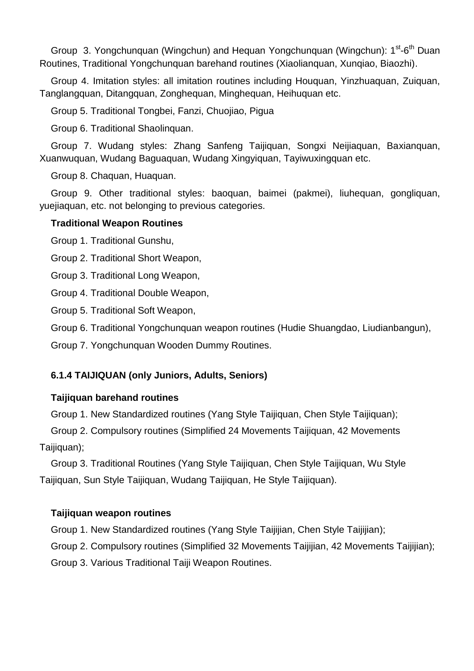Group 3. Yongchunquan (Wingchun) and Hequan Yongchunquan (Wingchun): 1<sup>st</sup>-6<sup>th</sup> Duan Routines, Traditional Yongchunquan barehand routines (Xiaolianquan, Xunqiao, Biaozhi).

Group 4. Imitation styles: all imitation routines including Houquan, Yinzhuaquan, Zuiquan, Tanglangquan, Ditangquan, Zonghequan, Minghequan, Heihuquan etc.

Group 5. Traditional Tongbei, Fanzi, Chuojiao, Pigua

Group 6. Traditional Shaolinquan.

Group 7. Wudang styles: Zhang Sanfeng Taijiquan, Songxi Neijiaquan, Baxianquan, Xuanwuquan, Wudang Baguaquan, Wudang Xingyiquan, Tayiwuxingquan etc.

Group 8. Chaquan, Huaquan.

Group 9. Other traditional styles: baoquan, baimei (pakmei), liuhequan, gongliquan, yuejiaquan, etc. not belonging to previous categories.

## **Traditional Weapon Routines**

Group 1. Traditional Gunshu,

Group 2. Traditional Short Weapon,

Group 3. Traditional Long Weapon,

Group 4. Traditional Double Weapon,

Group 5. Traditional Soft Weapon,

Group 6. Traditional Yongchunquan weapon routines (Hudie Shuangdao, Liudianbangun),

Group 7. Yongchunquan Wooden Dummy Routines.

## **6.1.4 TAIJIQUAN (only Juniors, Adults, Seniors)**

## **Taijiquan barehand routines**

Group 1. New Standardized routines (Yang Style Taijiquan, Chen Style Taijiquan);

Group 2. Compulsory routines (Simplified 24 Movements Taijiquan, 42 Movements Taijiquan);

Group 3. Traditional Routines (Yang Style Taijiquan, Chen Style Taijiquan, Wu Style Taijiquan, Sun Style Taijiquan, Wudang Taijiquan, He Style Taijiquan).

## **Taijiquan weapon routines**

Group 1. New Standardized routines (Yang Style Taijijian, Chen Style Taijijian);

Group 2. Compulsory routines (Simplified 32 Movements Taijijian, 42 Movements Taijijian);

Group 3. Various Traditional Taiji Weapon Routines.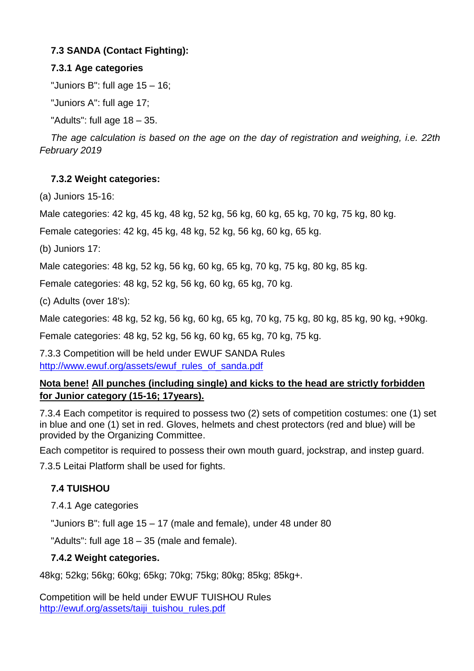## **7.3 SANDA (Contact Fighting):**

## **7.3.1 Age categories**

"Juniors B": full age 15 – 16;

"Juniors A": full age 17;

"Adults": full age 18 – 35.

*The age calculation is based on the age on the day of registration and weighing, i.e. 22th February 2019*

## **7.3.2 Weight categories:**

(a) Juniors 15-16:

Male categories: 42 kg, 45 kg, 48 kg, 52 kg, 56 kg, 60 kg, 65 kg, 70 kg, 75 kg, 80 kg.

Female categories: 42 kg, 45 kg, 48 kg, 52 kg, 56 kg, 60 kg, 65 kg.

(b) Juniors 17:

Male categories: 48 kg, 52 kg, 56 kg, 60 kg, 65 kg, 70 kg, 75 kg, 80 kg, 85 kg.

Female categories: 48 kg, 52 kg, 56 kg, 60 kg, 65 kg, 70 kg.

(c) Adults (over 18's):

Male categories: 48 kg, 52 kg, 56 kg, 60 kg, 65 kg, 70 kg, 75 kg, 80 kg, 85 kg, 90 kg, +90kg.

Female categories: 48 kg, 52 kg, 56 kg, 60 kg, 65 kg, 70 kg, 75 kg.

7.3.3 Competition will be held under EWUF SANDA Rules [http://www.ewuf.org/assets/ewuf\\_rules\\_of\\_sanda.pdf](http://www.ewuf.org/assets/ewuf_rules_of_sanda.pdf)

## **Nota bene! All punches (including single) and kicks to the head are strictly forbidden for Junior category (15-16; 17years).**

7.3.4 Each competitor is required to possess two (2) sets of competition costumes: one (1) set in blue and one (1) set in red. Gloves, helmets and chest protectors (red and blue) will be provided by the Organizing Committee.

Each competitor is required to possess their own mouth guard, jockstrap, and instep guard.

7.3.5 Leitai Platform shall be used for fights.

# **7.4 TUISHOU**

7.4.1 Age categories

"Juniors B": full age 15 – 17 (male and female), under 48 under 80

"Adults": full age 18 – 35 (male and female).

## **7.4.2 Weight categories.**

48kg; 52kg; 56kg; 60kg; 65kg; 70kg; 75kg; 80kg; 85kg; 85kg+.

Competition will be held under EWUF TUISHOU Rules [http://ewuf.org/assets/taiji\\_tuishou\\_rules.pdf](http://ewuf.org/assets/taiji_tuishou_rules.pdf)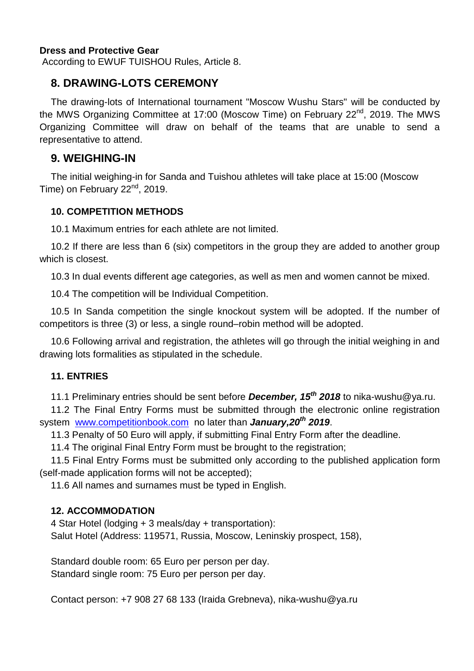#### **Dress and Protective Gear**

According to EWUF TUISHOU Rules, Article 8.

## **8. DRAWING-LOTS CEREMONY**

The drawing-lots of International tournament "Moscow Wushu Stars" will be conducted by the MWS Organizing Committee at 17:00 (Moscow Time) on February 22<sup>nd</sup>, 2019. The MWS Organizing Committee will draw on behalf of the teams that are unable to send a representative to attend.

## **9. WEIGHING-IN**

The initial weighing-in for Sanda and Tuishou athletes will take place at 15:00 (Moscow Time) on February 22<sup>nd</sup>, 2019.

#### **10. COMPETITION METHODS**

10.1 Maximum entries for each athlete are not limited.

10.2 If there are less than 6 (six) competitors in the group they are added to another group which is closest.

10.3 In dual events different age categories, as well as men and women cannot be mixed.

10.4 The competition will be Individual Competition.

10.5 In Sanda competition the single knockout system will be adopted. If the number of competitors is three (3) or less, a single round–robin method will be adopted.

10.6 Following arrival and registration, the athletes will go through the initial weighing in and drawing lots formalities as stipulated in the schedule.

#### **11. ENTRIES**

11.1 Preliminary entries should be sent before *December, 15 th 2018* to nika-wushu@ya.ru.

11.2 The Final Entry Forms must be submitted through the electronic online registration system [www.competitionbook.com](http://www.competitionbook.com/) no later than *January,20th 2019*.

11.3 Penalty of 50 Euro will apply, if submitting Final Entry Form after the deadline.

11.4 The original Final Entry Form must be brought to the registration;

11.5 Final Entry Forms must be submitted only according to the published application form (self-made application forms will not be accepted);

11.6 All names and surnames must be typed in English.

## **12. ACCOMMODATION**

4 Star Hotel (lodging + 3 meals/day + transportation): Salut Hotel (Address: 119571, Russia, Moscow, Leninskiy prospect, 158),

Standard double room: 65 Euro per person per day. Standard single room: 75 Euro per person per day.

Contact person: +7 908 27 68 133 (Iraida Grebneva), nika-wushu@ya.ru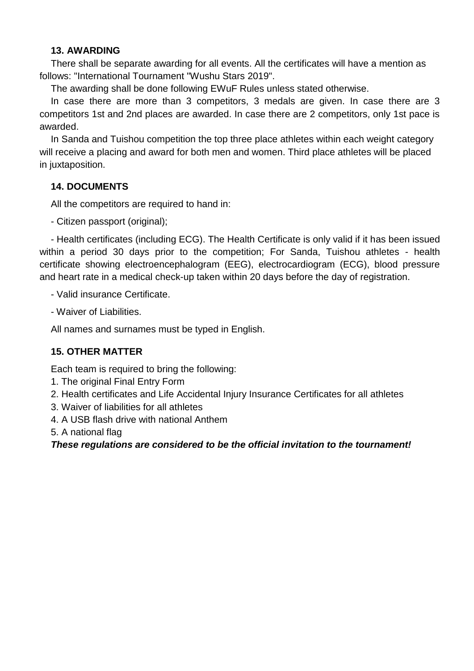#### **13. AWARDING**

There shall be separate awarding for all events. All the certificates will have a mention as follows: "International Tournament "Wushu Stars 2019".

The awarding shall be done following EWuF Rules unless stated otherwise.

In case there are more than 3 competitors, 3 medals are given. In case there are 3 competitors 1st and 2nd places are awarded. In case there are 2 competitors, only 1st pace is awarded.

In Sanda and Tuishou competition the top three place athletes within each weight category will receive a placing and award for both men and women. Third place athletes will be placed in juxtaposition.

## **14. DOCUMENTS**

All the competitors are required to hand in:

- Citizen passport (original);

- Health certificates (including ECG). The Health Certificate is only valid if it has been issued within a period 30 days prior to the competition; For Sanda, Tuishou athletes - health certificate showing electroencephalogram (EEG), electrocardiogram (ECG), blood pressure and heart rate in a medical check-up taken within 20 days before the day of registration.

- Valid insurance Certificate.

- Waiver of Liabilities.

All names and surnames must be typed in English.

## **15. OTHER MATTER**

Each team is required to bring the following:

- 1. The original Final Entry Form
- 2. Health certificates and Life Accidental Injury Insurance Certificates for all athletes
- 3. Waiver of liabilities for all athletes
- 4. A USB flash drive with national Anthem

5. A national flag

*These regulations are considered to be the official invitation to the tournament!*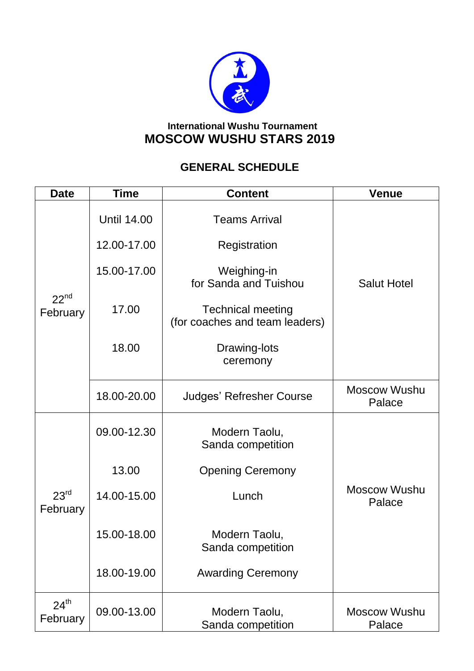

# **International Wushu Tournament MOSCOW WUSHU STARS 2019**

# **GENERAL SCHEDULE**

| <b>Date</b>                  | Time               | <b>Content</b>                                             | <b>Venue</b>                  |
|------------------------------|--------------------|------------------------------------------------------------|-------------------------------|
| $22^{nd}$<br>February        | <b>Until 14.00</b> | <b>Teams Arrival</b>                                       |                               |
|                              | 12.00-17.00        | Registration                                               |                               |
|                              | 15.00-17.00        | Weighing-in<br>for Sanda and Tuishou                       | <b>Salut Hotel</b>            |
|                              | 17.00              | <b>Technical meeting</b><br>(for coaches and team leaders) |                               |
|                              | 18.00              | Drawing-lots<br>ceremony                                   |                               |
|                              | 18.00-20.00        | <b>Judges' Refresher Course</b>                            | <b>Moscow Wushu</b><br>Palace |
| 23 <sup>rd</sup><br>February | 09.00-12.30        | Modern Taolu,<br>Sanda competition                         |                               |
|                              | 13.00              | <b>Opening Ceremony</b>                                    |                               |
|                              | 14.00-15.00        | Lunch                                                      | <b>Moscow Wushu</b><br>Palace |
|                              | 15.00-18.00        | Modern Taolu,<br>Sanda competition                         |                               |
|                              | 18.00-19.00        | <b>Awarding Ceremony</b>                                   |                               |
| $24^{th}$<br>February        | 09.00-13.00        | Modern Taolu,<br>Sanda competition                         | <b>Moscow Wushu</b><br>Palace |